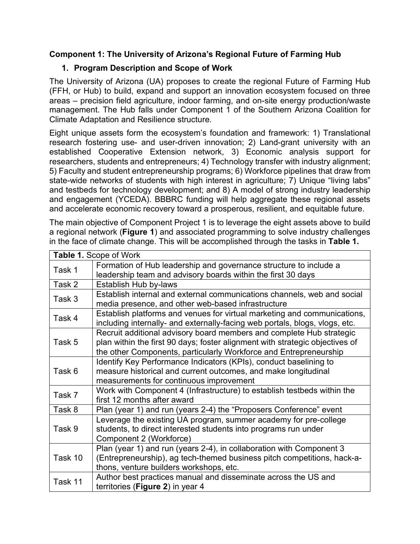### **Component 1: The University of Arizona's Regional Future of Farming Hub**

# **1. Program Description and Scope of Work**

The University of Arizona (UA) proposes to create the regional Future of Farming Hub (FFH, or Hub) to build, expand and support an innovation ecosystem focused on three areas – precision field agriculture, indoor farming, and on-site energy production/waste management. The Hub falls under Component 1 of the Southern Arizona Coalition for Climate Adaptation and Resilience structure.

Eight unique assets form the ecosystem's foundation and framework: 1) Translational research fostering use- and user-driven innovation; 2) Land-grant university with an established Cooperative Extension network, 3) Economic analysis support for researchers, students and entrepreneurs; 4) Technology transfer with industry alignment; 5) Faculty and student entrepreneurship programs; 6) Workforce pipelines that draw from state-wide networks of students with high interest in agriculture; 7) Unique "living labs" and testbeds for technology development; and 8) A model of strong industry leadership and engagement (YCEDA). BBBRC funding will help aggregate these regional assets and accelerate economic recovery toward a prosperous, resilient, and equitable future.

The main objective of Component Project 1 is to leverage the eight assets above to build a regional network (**Figure 1**) and associated programming to solve industry challenges in the face of climate change. This will be accomplished through the tasks in **Table 1.**

| Table 1. Scope of Work |                                                                                                                                                                                                                           |  |  |
|------------------------|---------------------------------------------------------------------------------------------------------------------------------------------------------------------------------------------------------------------------|--|--|
| Task 1                 | Formation of Hub leadership and governance structure to include a<br>leadership team and advisory boards within the first 30 days                                                                                         |  |  |
| Task 2                 | Establish Hub by-laws                                                                                                                                                                                                     |  |  |
| Task 3                 | Establish internal and external communications channels, web and social<br>media presence, and other web-based infrastructure                                                                                             |  |  |
| Task 4                 | Establish platforms and venues for virtual marketing and communications,<br>including internally- and externally-facing web portals, blogs, vlogs, etc.                                                                   |  |  |
| Task 5                 | Recruit additional advisory board members and complete Hub strategic<br>plan within the first 90 days; foster alignment with strategic objectives of<br>the other Components, particularly Workforce and Entrepreneurship |  |  |
| Task 6                 | Identify Key Performance Indicators (KPIs), conduct baselining to<br>measure historical and current outcomes, and make longitudinal<br>measurements for continuous improvement                                            |  |  |
| Task 7                 | Work with Component 4 (Infrastructure) to establish testbeds within the<br>first 12 months after award                                                                                                                    |  |  |
| Task 8                 | Plan (year 1) and run (years 2-4) the "Proposers Conference" event                                                                                                                                                        |  |  |
| Task 9                 | Leverage the existing UA program, summer academy for pre-college<br>students, to direct interested students into programs run under<br>Component 2 (Workforce)                                                            |  |  |
| Task 10                | Plan (year 1) and run (years 2-4), in collaboration with Component 3<br>(Entrepreneurship), ag tech-themed business pitch competitions, hack-a-<br>thons, venture builders workshops, etc.                                |  |  |
| Task 11                | Author best practices manual and disseminate across the US and<br>territories (Figure 2) in year 4                                                                                                                        |  |  |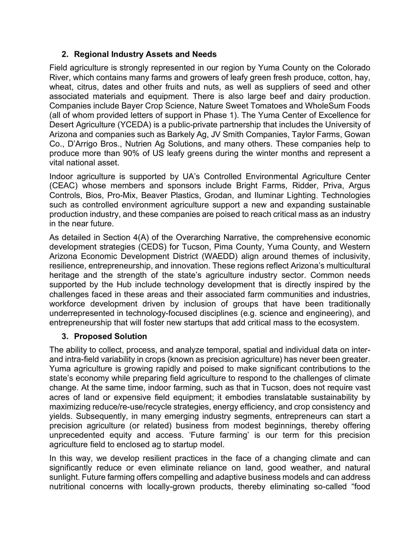### **2. Regional Industry Assets and Needs**

Field agriculture is strongly represented in our region by Yuma County on the Colorado River, which contains many farms and growers of leafy green fresh produce, cotton, hay, wheat, citrus, dates and other fruits and nuts, as well as suppliers of seed and other associated materials and equipment. There is also large beef and dairy production. Companies include Bayer Crop Science, Nature Sweet Tomatoes and WholeSum Foods (all of whom provided letters of support in Phase 1). The Yuma Center of Excellence for Desert Agriculture (YCEDA) is a public-private partnership that includes the University of Arizona and companies such as Barkely Ag, JV Smith Companies, Taylor Farms, Gowan Co., D'Arrigo Bros., Nutrien Ag Solutions, and many others. These companies help to produce more than 90% of US leafy greens during the winter months and represent a vital national asset.

Indoor agriculture is supported by UA's Controlled Environmental Agriculture Center (CEAC) whose members and sponsors include Bright Farms, Ridder, Priva, Argus Controls, Bios, Pro-Mix, Beaver Plastics, Grodan, and Iluminar Lighting. Technologies such as controlled environment agriculture support a new and expanding sustainable production industry, and these companies are poised to reach critical mass as an industry in the near future.

As detailed in Section 4(A) of the Overarching Narrative, the comprehensive economic development strategies (CEDS) for Tucson, Pima County, Yuma County, and Western Arizona Economic Development District (WAEDD) align around themes of inclusivity, resilience, entrepreneurship, and innovation. These regions reflect Arizona's multicultural heritage and the strength of the state's agriculture industry sector. Common needs supported by the Hub include technology development that is directly inspired by the challenges faced in these areas and their associated farm communities and industries, workforce development driven by inclusion of groups that have been traditionally underrepresented in technology-focused disciplines (e.g. science and engineering), and entrepreneurship that will foster new startups that add critical mass to the ecosystem.

### **3. Proposed Solution**

The ability to collect, process, and analyze temporal, spatial and individual data on interand intra-field variability in crops (known as precision agriculture) has never been greater. Yuma agriculture is growing rapidly and poised to make significant contributions to the state's economy while preparing field agriculture to respond to the challenges of climate change. At the same time, indoor farming, such as that in Tucson, does not require vast acres of land or expensive field equipment; it embodies translatable sustainability by maximizing reduce/re-use/recycle strategies, energy efficiency, and crop consistency and yields. Subsequently, in many emerging industry segments, entrepreneurs can start a precision agriculture (or related) business from modest beginnings, thereby offering unprecedented equity and access. 'Future farming' is our term for this precision agriculture field to enclosed ag to startup model.

In this way, we develop resilient practices in the face of a changing climate and can significantly reduce or even eliminate reliance on land, good weather, and natural sunlight. Future farming offers compelling and adaptive business models and can address nutritional concerns with locally-grown products, thereby eliminating so-called "food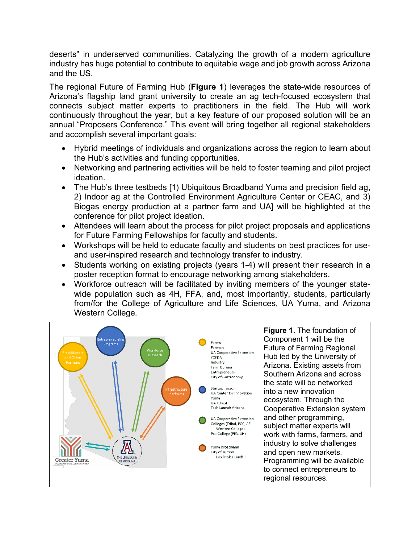deserts" in underserved communities. Catalyzing the growth of a modern agriculture industry has huge potential to contribute to equitable wage and job growth across Arizona and the US.

The regional Future of Farming Hub (**Figure 1**) leverages the state-wide resources of Arizona's flagship land grant university to create an ag tech-focused ecosystem that connects subject matter experts to practitioners in the field. The Hub will work continuously throughout the year, but a key feature of our proposed solution will be an annual "Proposers Conference." This event will bring together all regional stakeholders and accomplish several important goals:

- Hybrid meetings of individuals and organizations across the region to learn about the Hub's activities and funding opportunities.
- Networking and partnering activities will be held to foster teaming and pilot project ideation.
- The Hub's three testbeds [1) Ubiquitous Broadband Yuma and precision field ag, 2) Indoor ag at the Controlled Environment Agriculture Center or CEAC, and 3) Biogas energy production at a partner farm and UA] will be highlighted at the conference for pilot project ideation.
- Attendees will learn about the process for pilot project proposals and applications for Future Farming Fellowships for faculty and students.
- Workshops will be held to educate faculty and students on best practices for useand user-inspired research and technology transfer to industry.
- Students working on existing projects (years 1-4) will present their research in a poster reception format to encourage networking among stakeholders.
- Workforce outreach will be facilitated by inviting members of the younger statewide population such as 4H, FFA, and, most importantly, students, particularly from/for the College of Agriculture and Life Sciences, UA Yuma, and Arizona Western College.

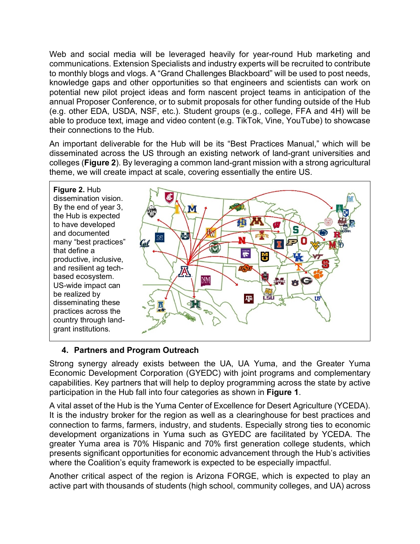Web and social media will be leveraged heavily for year-round Hub marketing and communications. Extension Specialists and industry experts will be recruited to contribute to monthly blogs and vlogs. A "Grand Challenges Blackboard" will be used to post needs, knowledge gaps and other opportunities so that engineers and scientists can work on potential new pilot project ideas and form nascent project teams in anticipation of the annual Proposer Conference, or to submit proposals for other funding outside of the Hub (e.g. other EDA, USDA, NSF, etc.). Student groups (e.g., college, FFA and 4H) will be able to produce text, image and video content (e.g. TikTok, Vine, YouTube) to showcase their connections to the Hub.

An important deliverable for the Hub will be its "Best Practices Manual," which will be disseminated across the US through an existing network of land-grant universities and colleges (**Figure 2**). By leveraging a common land-grant mission with a strong agricultural theme, we will create impact at scale, covering essentially the entire US.

**Figure 2.** Hub dissemination vision. By the end of year 3, the Hub is expected to have developed and documented many "best practices" that define a productive, inclusive, and resilient ag techbased ecosystem. US-wide impact can be realized by disseminating these practices across the country through landgrant institutions.



# **4. Partners and Program Outreach**

Strong synergy already exists between the UA, UA Yuma, and the Greater Yuma Economic Development Corporation (GYEDC) with joint programs and complementary capabilities. Key partners that will help to deploy programming across the state by active participation in the Hub fall into four categories as shown in **Figure 1**.

A vital asset of the Hub is the Yuma Center of Excellence for Desert Agriculture (YCEDA). It is the industry broker for the region as well as a clearinghouse for best practices and connection to farms, farmers, industry, and students. Especially strong ties to economic development organizations in Yuma such as GYEDC are facilitated by YCEDA. The greater Yuma area is 70% Hispanic and 70% first generation college students, which presents significant opportunities for economic advancement through the Hub's activities where the Coalition's equity framework is expected to be especially impactful.

Another critical aspect of the region is Arizona FORGE, which is expected to play an active part with thousands of students (high school, community colleges, and UA) across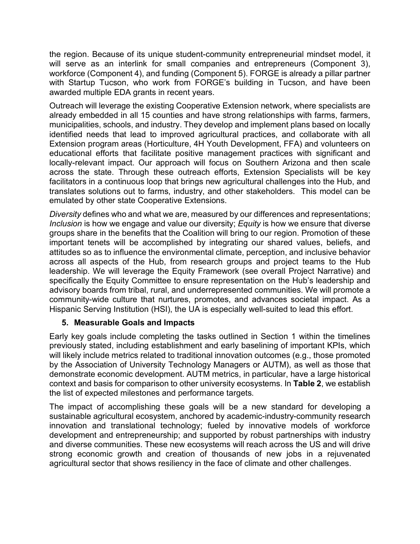the region. Because of its unique student-community entrepreneurial mindset model, it will serve as an interlink for small companies and entrepreneurs (Component 3), workforce (Component 4), and funding (Component 5). FORGE is already a pillar partner with Startup Tucson, who work from FORGE's building in Tucson, and have been awarded multiple EDA grants in recent years.

Outreach will leverage the existing Cooperative Extension network, where specialists are already embedded in all 15 counties and have strong relationships with farms, farmers, municipalities, schools, and industry. They develop and implement plans based on locally identified needs that lead to improved agricultural practices, and collaborate with all Extension program areas (Horticulture, 4H Youth Development, FFA) and volunteers on educational efforts that facilitate positive management practices with significant and locally-relevant impact. Our approach will focus on Southern Arizona and then scale across the state. Through these outreach efforts, Extension Specialists will be key facilitators in a continuous loop that brings new agricultural challenges into the Hub, and translates solutions out to farms, industry, and other stakeholders. This model can be emulated by other state Cooperative Extensions.

*Diversity* defines who and what we are, measured by our differences and representations; *Inclusion* is how we engage and value our diversity; *Equity* is how we ensure that diverse groups share in the benefits that the Coalition will bring to our region. Promotion of these important tenets will be accomplished by integrating our shared values, beliefs, and attitudes so as to influence the environmental climate, perception, and inclusive behavior across all aspects of the Hub, from research groups and project teams to the Hub leadership. We will leverage the Equity Framework (see overall Project Narrative) and specifically the Equity Committee to ensure representation on the Hub's leadership and advisory boards from tribal, rural, and underrepresented communities. We will promote a community-wide culture that nurtures, promotes, and advances societal impact. As a Hispanic Serving Institution (HSI), the UA is especially well-suited to lead this effort.

### **5. Measurable Goals and Impacts**

Early key goals include completing the tasks outlined in Section 1 within the timelines previously stated, including establishment and early baselining of important KPIs, which will likely include metrics related to traditional innovation outcomes (e.g., those promoted by the Association of University Technology Managers or AUTM), as well as those that demonstrate economic development. AUTM metrics, in particular, have a large historical context and basis for comparison to other university ecosystems. In **Table 2**, we establish the list of expected milestones and performance targets.

The impact of accomplishing these goals will be a new standard for developing a sustainable agricultural ecosystem, anchored by academic-industry-community research innovation and translational technology; fueled by innovative models of workforce development and entrepreneurship; and supported by robust partnerships with industry and diverse communities. These new ecosystems will reach across the US and will drive strong economic growth and creation of thousands of new jobs in a rejuvenated agricultural sector that shows resiliency in the face of climate and other challenges.